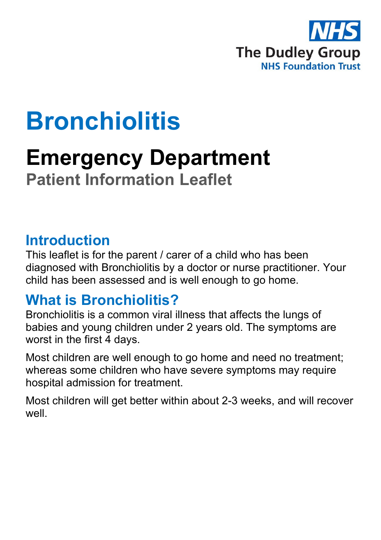

# **Bronchiolitis**

## **Emergency Department Patient Information Leaflet**

#### **Introduction**

This leaflet is for the parent / carer of a child who has been diagnosed with Bronchiolitis by a doctor or nurse practitioner. Your child has been assessed and is well enough to go home.

### **What is Bronchiolitis?**

Bronchiolitis is a common viral illness that affects the lungs of babies and young children under 2 years old. The symptoms are worst in the first 4 days.

Most children are well enough to go home and need no treatment; whereas some children who have severe symptoms may require hospital admission for treatment.

Most children will get better within about 2-3 weeks, and will recover well.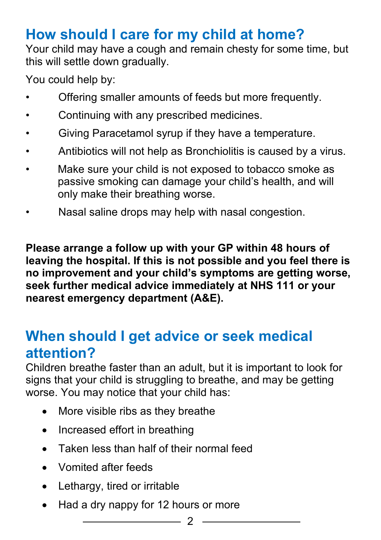## **How should I care for my child at home?**

Your child may have a cough and remain chesty for some time, but this will settle down gradually.

You could help by:

- Offering smaller amounts of feeds but more frequently.
- Continuing with any prescribed medicines.
- Giving Paracetamol syrup if they have a temperature.
- Antibiotics will not help as Bronchiolitis is caused by a virus.
- Make sure your child is not exposed to tobacco smoke as passive smoking can damage your child's health, and will only make their breathing worse.
- Nasal saline drops may help with nasal congestion.

**Please arrange a follow up with your GP within 48 hours of leaving the hospital. If this is not possible and you feel there is no improvement and your child's symptoms are getting worse, seek further medical advice immediately at NHS 111 or your nearest emergency department (A&E).**

#### **When should I get advice or seek medical attention?**

Children breathe faster than an adult, but it is important to look for signs that your child is struggling to breathe, and may be getting worse. You may notice that your child has:

- More visible ribs as they breathe
- Increased effort in breathing
- Taken less than half of their normal feed
- Vomited after feeds
- Lethargy, tired or irritable
- Had a dry nappy for 12 hours or more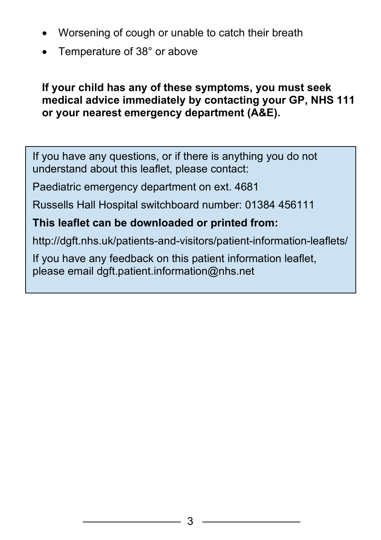- Worsening of cough or unable to catch their breath
- Temperature of 38° or above

#### **If your child has any of these symptoms, you must seek medical advice immediately by contacting your GP, NHS 111 or your nearest emergency department (A&E).**

If you have any questions, or if there is anything you do not understand about this leaflet, please contact:

Paediatric emergency department on ext. 4681

Russells Hall Hospital switchboard number: 01384 456111

#### **This leaflet can be downloaded or printed from:**

http://dgft.nhs.uk/patients-and-visitors/patient-information-leaflets/

If you have any feedback on this patient information leaflet, please email dgft.patient.information@nhs.net